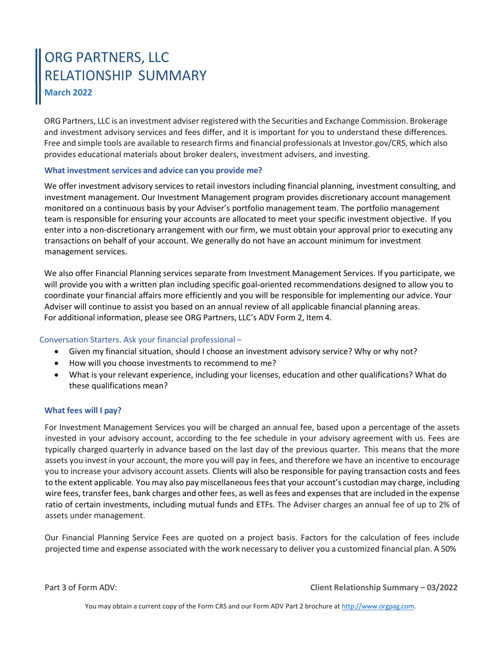# ORG PARTNERS, LLC RELATIONSHIP SUMMARY **March 2022**

ORG Partners, LLC is an investment adviser registered with the Securities and Exchange Commission. Brokerage and investment advisory services and fees differ, and it is important for you to understand these differences. Free and simple tools are available to research firms and financial professionals at Investor.gov/CRS, which also provides educational materials about broker dealers, investment advisers, and investing.

### **What investment services and advice can you provide me?**

We offer investment advisory services to retail investors including financial planning, investment consulting, and investment management. Our Investment Management program provides discretionary account management monitored on a continuous basis by your Adviser's portfolio management team. The portfolio management team is responsible for ensuring your accounts are allocated to meet your specific investment objective. If you enter into a non-discretionary arrangement with our firm, we must obtain your approval prior to executing any transactions on behalf of your account. We generally do not have an account minimum for investment management services.

We also offer Financial Planning services separate from Investment Management Services. If you participate, we will provide you with a written plan including specific goal-oriented recommendations designed to allow you to coordinate your financial affairs more efficiently and you will be responsible for implementing our advice. Your Adviser will continue to assist you based on an annual review of all applicable financial planning areas. For additional [information,](https://www.adviserinfo.sec.gov/IAPD/Content/Common/crd_iapd_Brochure.aspx?BRCHR_VRSN_ID=596354) please see ORG Partners, LLC's ADV Form 2, Item 4.

# Conversation Starters. Ask your financial professional –

- Given my financial situation, should I choose an investment advisory service? Why or why not?
- How will you choose investments to recommend to me?
- What is your relevant experience, including your licenses, education and other qualifications? What do these qualifications mean?

### **What fees will I pay?**

For Investment Management Services you will be charged an annual fee, based upon a percentage of the assets invested in your advisory account, according to the fee schedule in your advisory agreement with us. Fees are typically charged quarterly in advance based on the last day of the previous quarter. This means that the more assets you invest in your account, the more you will pay in fees, and therefore we have an incentive to encourage you to increase your advisory account assets. Clients will also be responsible for paying transaction costs and fees to the extent applicable. You may also pay miscellaneousfeesthat your account's custodian may charge, including wire fees, transfer fees, bank charges and other fees, as well as fees and expenses that are included in the expense ratio of certain investments, including mutual funds and ETFs. The Adviser charges an annual fee of up to 2% of assets under management.

Our Financial Planning Service Fees are quoted on a project basis. Factors for the calculation of fees include projected time and expense associated with the work necessary to deliver you a customized financial plan. A 50%